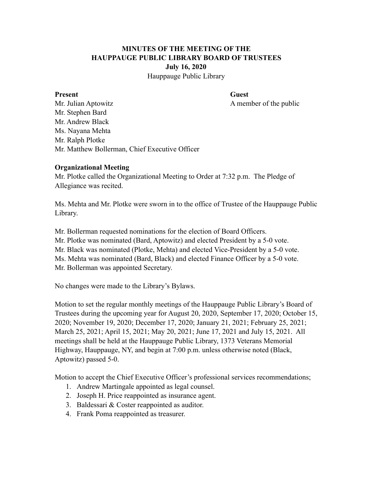# **MINUTES OF THE MEETING OF THE HAUPPAUGE PUBLIC LIBRARY BOARD OF TRUSTEES July 16, 2020**

Hauppauge Public Library

#### Present Guest

Mr. Julian Aptowitz A member of the public Mr. Stephen Bard Mr. Andrew Black Ms. Nayana Mehta Mr. Ralph Plotke Mr. Matthew Bollerman, Chief Executive Officer

#### **Organizational Meeting**

Mr. Plotke called the Organizational Meeting to Order at 7:32 p.m. The Pledge of Allegiance was recited.

Ms. Mehta and Mr. Plotke were sworn in to the office of Trustee of the Hauppauge Public Library.

Mr. Bollerman requested nominations for the election of Board Officers.

Mr. Plotke was nominated (Bard, Aptowitz) and elected President by a 5-0 vote.

Mr. Black was nominated (Plotke, Mehta) and elected Vice-President by a 5-0 vote.

Ms. Mehta was nominated (Bard, Black) and elected Finance Officer by a 5-0 vote.

Mr. Bollerman was appointed Secretary.

No changes were made to the Library's Bylaws.

Motion to set the regular monthly meetings of the Hauppauge Public Library's Board of Trustees during the upcoming year for August 20, 2020, September 17, 2020; October 15, 2020; November 19, 2020; December 17, 2020; January 21, 2021; February 25, 2021; March 25, 2021; April 15, 2021; May 20, 2021; June 17, 2021 and July 15, 2021. All meetings shall be held at the Hauppauge Public Library, 1373 Veterans Memorial Highway, Hauppauge, NY, and begin at 7:00 p.m. unless otherwise noted (Black, Aptowitz) passed 5-0.

Motion to accept the Chief Executive Officer's professional services recommendations;

- 1. Andrew Martingale appointed as legal counsel.
- 2. Joseph H. Price reappointed as insurance agent.
- 3. Baldessari & Coster reappointed as auditor.
- 4. Frank Poma reappointed as treasurer.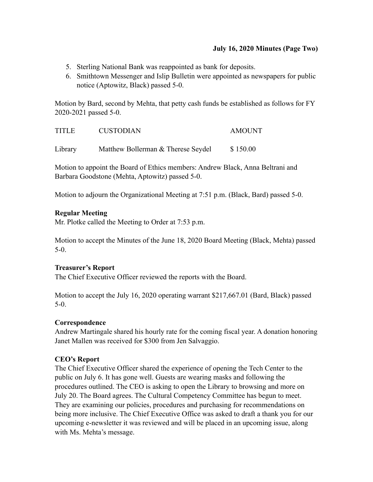#### **July 16, 2020 Minutes (Page Two)**

- 5. Sterling National Bank was reappointed as bank for deposits.
- 6. Smithtown Messenger and Islip Bulletin were appointed as newspapers for public notice (Aptowitz, Black) passed 5-0.

Motion by Bard, second by Mehta, that petty cash funds be established as follows for FY 2020-2021 passed 5-0.

| <b>TITLE</b> | <b>CUSTODIAN</b>                   | <b>AMOUNT</b> |
|--------------|------------------------------------|---------------|
| Library      | Matthew Bollerman & Therese Seydel | \$150.00      |

Motion to appoint the Board of Ethics members: Andrew Black, Anna Beltrani and Barbara Goodstone (Mehta, Aptowitz) passed 5-0.

Motion to adjourn the Organizational Meeting at 7:51 p.m. (Black, Bard) passed 5-0.

#### **Regular Meeting**

Mr. Plotke called the Meeting to Order at 7:53 p.m.

Motion to accept the Minutes of the June 18, 2020 Board Meeting (Black, Mehta) passed 5-0.

## **Treasurer's Report**

The Chief Executive Officer reviewed the reports with the Board.

Motion to accept the July 16, 2020 operating warrant \$217,667.01 (Bard, Black) passed 5-0.

#### **Correspondence**

Andrew Martingale shared his hourly rate for the coming fiscal year. A donation honoring Janet Mallen was received for \$300 from Jen Salvaggio.

## **CEO's Report**

The Chief Executive Officer shared the experience of opening the Tech Center to the public on July 6. It has gone well. Guests are wearing masks and following the procedures outlined. The CEO is asking to open the Library to browsing and more on July 20. The Board agrees. The Cultural Competency Committee has begun to meet. They are examining our policies, procedures and purchasing for recommendations on being more inclusive. The Chief Executive Office was asked to draft a thank you for our upcoming e-newsletter it was reviewed and will be placed in an upcoming issue, along with Ms. Mehta's message.